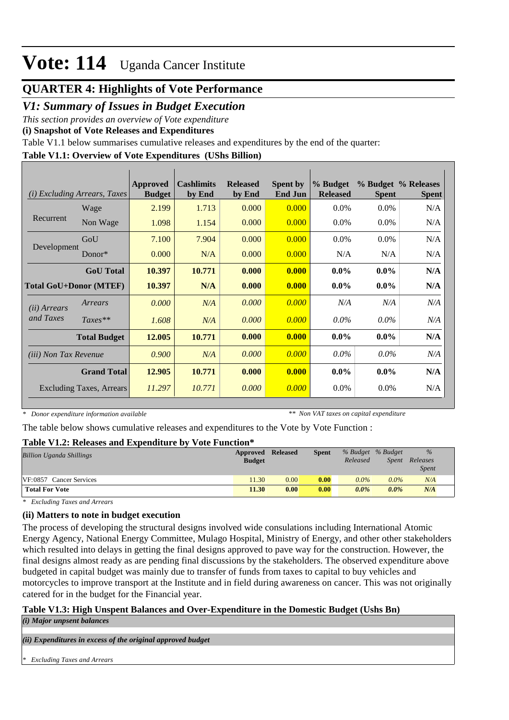# **QUARTER 4: Highlights of Vote Performance**

### *V1: Summary of Issues in Budget Execution*

*This section provides an overview of Vote expenditure* 

**(i) Snapshot of Vote Releases and Expenditures**

Table V1.1 below summarises cumulative releases and expenditures by the end of the quarter:

### **Table V1.1: Overview of Vote Expenditures (UShs Billion)**

|                               | ( <i>i</i> ) Excluding Arrears, Taxes | Approved<br><b>Budget</b> | <b>Cashlimits</b><br>by End | <b>Released</b><br>by End | <b>Spent by</b><br><b>End Jun</b> | % Budget<br><b>Released</b> | <b>Spent</b> | % Budget % Releases<br><b>Spent</b> |
|-------------------------------|---------------------------------------|---------------------------|-----------------------------|---------------------------|-----------------------------------|-----------------------------|--------------|-------------------------------------|
|                               | Wage                                  | 2.199                     | 1.713                       | 0.000                     | 0.000                             | $0.0\%$                     | 0.0%         | N/A                                 |
| Recurrent                     | Non Wage                              | 1.098                     | 1.154                       | 0.000                     | 0.000                             | $0.0\%$                     | $0.0\%$      | N/A                                 |
|                               | GoU                                   | 7.100                     | 7.904                       | 0.000                     | 0.000                             | $0.0\%$                     | $0.0\%$      | N/A                                 |
| Development                   | Donor $*$                             | 0.000                     | N/A                         | 0.000                     | 0.000                             | N/A                         | N/A          | N/A                                 |
|                               | <b>GoU</b> Total                      | 10.397                    | 10.771                      | 0.000                     | 0.000                             | $0.0\%$                     | $0.0\%$      | N/A                                 |
| <b>Total GoU+Donor (MTEF)</b> |                                       | 10.397                    | N/A                         | 0.000                     | 0.000                             | $0.0\%$                     | $0.0\%$      | N/A                                 |
| ( <i>ii</i> ) Arrears         | Arrears                               | 0.000                     | N/A                         | 0.000                     | 0.000                             | N/A                         | N/A          | N/A                                 |
| and Taxes                     | $Taxes**$                             | 1.608                     | N/A                         | 0.000                     | 0.000                             | $0.0\%$                     | $0.0\%$      | N/A                                 |
|                               | <b>Total Budget</b>                   | 12.005                    | 10.771                      | 0.000                     | 0.000                             | $0.0\%$                     | $0.0\%$      | N/A                                 |
| (iii) Non Tax Revenue         |                                       | 0.900                     | N/A                         | 0.000                     | 0.000                             | $0.0\%$                     | $0.0\%$      | N/A                                 |
|                               | <b>Grand Total</b>                    | 12.905                    | 10.771                      | 0.000                     | 0.000                             | $0.0\%$                     | $0.0\%$      | N/A                                 |
|                               | <b>Excluding Taxes, Arrears</b>       | 11.297                    | 10.771                      | 0.000                     | 0.000                             | $0.0\%$                     | $0.0\%$      | N/A                                 |

*\* Donor expenditure information available*

*\*\* Non VAT taxes on capital expenditure*

The table below shows cumulative releases and expenditures to the Vote by Vote Function :

### **Table V1.2: Releases and Expenditure by Vote Function\***

| ------<br>. .<br>.              |               |                 |              |                   |         |              |
|---------------------------------|---------------|-----------------|--------------|-------------------|---------|--------------|
| <b>Billion Uganda Shillings</b> | Approved      | <b>Released</b> | <b>Spent</b> | % Budget % Budget |         | $\%$         |
|                                 | <b>Budget</b> |                 |              | Released          | Spent   | Releases     |
|                                 |               |                 |              |                   |         | <i>Spent</i> |
| VF:0857 Cancer Services         | 11.30         | 0.00            | 0.00         | $0.0\%$           | $0.0\%$ | N/A          |
| <b>Total For Vote</b>           | 11.30         | 0.00            | 0.00         | $0.0\%$           | $0.0\%$ | N/A          |

*\* Excluding Taxes and Arrears*

### **(ii) Matters to note in budget execution**

The process of developing the structural designs involved wide consulations including International Atomic Energy Agency, National Energy Committee, Mulago Hospital, Ministry of Energy, and other other stakeholders which resulted into delays in getting the final designs approved to pave way for the construction. However, the final designs almost ready as are pending final discussions by the stakeholders. The observed expenditure above budgeted in capital budget was mainly due to transfer of funds from taxes to capital to buy vehicles and motorcycles to improve transport at the Institute and in field during awareness on cancer. This was not originally catered for in the budget for the Financial year.

### **Table V1.3: High Unspent Balances and Over-Expenditure in the Domestic Budget (Ushs Bn)**

*(i) Major unpsent balances*

*(ii) Expenditures in excess of the original approved budget*

*\* Excluding Taxes and Arrears*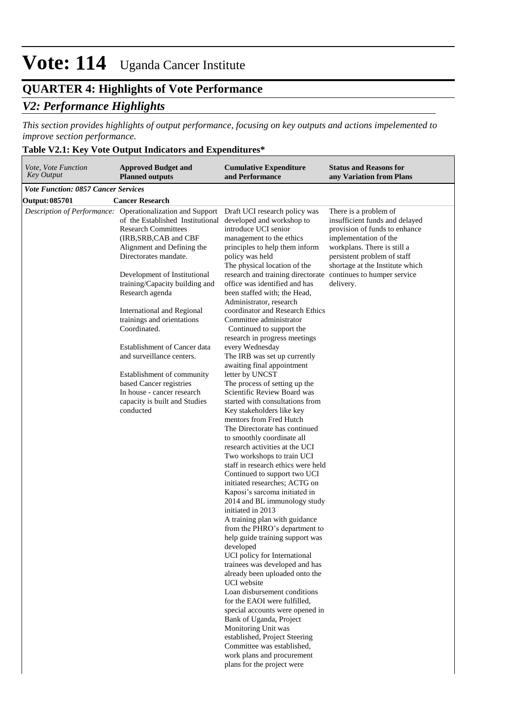## **QUARTER 4: Highlights of Vote Performance**

## *V2: Performance Highlights*

*This section provides highlights of output performance, focusing on key outputs and actions impelemented to improve section performance.*

## **Table V2.1: Key Vote Output Indicators and Expenditures\***

| Vote, Vote Function<br>Key Output          | <b>Approved Budget and</b><br><b>Planned outputs</b>                                                                                                                                                                                                                                                                                                                                                                                                                                                                                                                                    | <b>Cumulative Expenditure</b><br>and Performance                                                                                                                                                                                                                                                                                                                                                                                                                                                                                                                                                                                                                                                                                                                                                                                                                                                                                                                                                                                                                                                                                                                                                                                                                                                                                                                                                                                                                                                                                                                                       | <b>Status and Reasons for</b><br>any Variation from Plans                                                                                                                                                                                                      |
|--------------------------------------------|-----------------------------------------------------------------------------------------------------------------------------------------------------------------------------------------------------------------------------------------------------------------------------------------------------------------------------------------------------------------------------------------------------------------------------------------------------------------------------------------------------------------------------------------------------------------------------------------|----------------------------------------------------------------------------------------------------------------------------------------------------------------------------------------------------------------------------------------------------------------------------------------------------------------------------------------------------------------------------------------------------------------------------------------------------------------------------------------------------------------------------------------------------------------------------------------------------------------------------------------------------------------------------------------------------------------------------------------------------------------------------------------------------------------------------------------------------------------------------------------------------------------------------------------------------------------------------------------------------------------------------------------------------------------------------------------------------------------------------------------------------------------------------------------------------------------------------------------------------------------------------------------------------------------------------------------------------------------------------------------------------------------------------------------------------------------------------------------------------------------------------------------------------------------------------------------|----------------------------------------------------------------------------------------------------------------------------------------------------------------------------------------------------------------------------------------------------------------|
| <b>Vote Function: 0857 Cancer Services</b> |                                                                                                                                                                                                                                                                                                                                                                                                                                                                                                                                                                                         |                                                                                                                                                                                                                                                                                                                                                                                                                                                                                                                                                                                                                                                                                                                                                                                                                                                                                                                                                                                                                                                                                                                                                                                                                                                                                                                                                                                                                                                                                                                                                                                        |                                                                                                                                                                                                                                                                |
| <b>Output: 085701</b>                      | <b>Cancer Research</b>                                                                                                                                                                                                                                                                                                                                                                                                                                                                                                                                                                  |                                                                                                                                                                                                                                                                                                                                                                                                                                                                                                                                                                                                                                                                                                                                                                                                                                                                                                                                                                                                                                                                                                                                                                                                                                                                                                                                                                                                                                                                                                                                                                                        |                                                                                                                                                                                                                                                                |
|                                            | Description of Performance: Operationalization and Support<br>of the Established Institutional<br><b>Research Committees</b><br>(IRB, SRB, CAB and CBF<br>Alignment and Defining the<br>Directorates mandate.<br>Development of Institutional<br>training/Capacity building and<br>Research agenda<br>International and Regional<br>trainings and orientations<br>Coordinated.<br><b>Establishment of Cancer data</b><br>and surveillance centers.<br>Establishment of community<br>based Cancer registries<br>In house - cancer research<br>capacity is built and Studies<br>conducted | Draft UCI research policy was<br>developed and workshop to<br>introduce UCI senior<br>management to the ethics<br>principles to help them inform<br>policy was held<br>The physical location of the<br>research and training directorate<br>office was identified and has<br>been staffed with; the Head,<br>Administrator, research<br>coordinator and Research Ethics<br>Committee administrator<br>Continued to support the<br>research in progress meetings<br>every Wednesday<br>The IRB was set up currently<br>awaiting final appointment<br>letter by UNCST<br>The process of setting up the<br>Scientific Review Board was<br>started with consultations from<br>Key stakeholders like key<br>mentors from Fred Hutch<br>The Directorate has continued<br>to smoothly coordinate all<br>research activities at the UCI<br>Two workshops to train UCI<br>staff in research ethics were held<br>Continued to support two UCI<br>initiated researches; ACTG on<br>Kaposi's sarcoma initiated in<br>2014 and BL immunology study<br>initiated in 2013<br>A training plan with guidance<br>from the PHRO's department to<br>help guide training support was<br>developed<br>UCI policy for International<br>trainees was developed and has<br>already been uploaded onto the<br><b>UCI</b> website<br>Loan disbursement conditions<br>for the EAOI were fulfilled,<br>special accounts were opened in<br>Bank of Uganda, Project<br>Monitoring Unit was<br>established, Project Steering<br>Committee was established,<br>work plans and procurement<br>plans for the project were | There is a problem of<br>insufficient funds and delayed<br>provision of funds to enhance<br>implementation of the<br>workplans. There is still a<br>persistent problem of staff<br>shortage at the Institute which<br>continues to humper service<br>delivery. |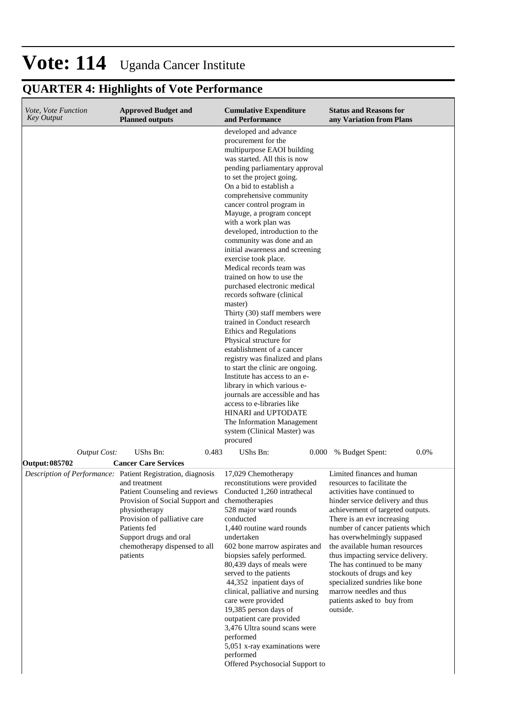# **QUARTER 4: Highlights of Vote Performance**

| <i>Vote, Vote Function</i><br><b>Key Output</b> | <b>Approved Budget and</b><br><b>Planned outputs</b>                                                                                                                                                                                                                                      | <b>Cumulative Expenditure</b><br>and Performance                                                                                                                                                                                                                                                                                                                                                                                                                                                                                                                                                                                                                                                                                                                                                                                                                                                                                                                                                                                          | <b>Status and Reasons for</b><br>any Variation from Plans                                                                                                                                                                                                                                                                                                                                                                                                                                                   |
|-------------------------------------------------|-------------------------------------------------------------------------------------------------------------------------------------------------------------------------------------------------------------------------------------------------------------------------------------------|-------------------------------------------------------------------------------------------------------------------------------------------------------------------------------------------------------------------------------------------------------------------------------------------------------------------------------------------------------------------------------------------------------------------------------------------------------------------------------------------------------------------------------------------------------------------------------------------------------------------------------------------------------------------------------------------------------------------------------------------------------------------------------------------------------------------------------------------------------------------------------------------------------------------------------------------------------------------------------------------------------------------------------------------|-------------------------------------------------------------------------------------------------------------------------------------------------------------------------------------------------------------------------------------------------------------------------------------------------------------------------------------------------------------------------------------------------------------------------------------------------------------------------------------------------------------|
|                                                 |                                                                                                                                                                                                                                                                                           | developed and advance<br>procurement for the<br>multipurpose EAOI building<br>was started. All this is now<br>pending parliamentary approval<br>to set the project going.<br>On a bid to establish a<br>comprehensive community<br>cancer control program in<br>Mayuge, a program concept<br>with a work plan was<br>developed, introduction to the<br>community was done and an<br>initial awareness and screening<br>exercise took place.<br>Medical records team was<br>trained on how to use the<br>purchased electronic medical<br>records software (clinical<br>master)<br>Thirty (30) staff members were<br>trained in Conduct research<br>Ethics and Regulations<br>Physical structure for<br>establishment of a cancer<br>registry was finalized and plans<br>to start the clinic are ongoing.<br>Institute has access to an e-<br>library in which various e-<br>journals are accessible and has<br>access to e-libraries like<br>HINARI and UPTODATE<br>The Information Management<br>system (Clinical Master) was<br>procured |                                                                                                                                                                                                                                                                                                                                                                                                                                                                                                             |
| <b>Output Cost:</b><br>Output: 085702           | <b>UShs Bn:</b><br>0.483<br><b>Cancer Care Services</b>                                                                                                                                                                                                                                   | UShs Bn:<br>0.000                                                                                                                                                                                                                                                                                                                                                                                                                                                                                                                                                                                                                                                                                                                                                                                                                                                                                                                                                                                                                         | % Budget Spent:<br>$0.0\%$                                                                                                                                                                                                                                                                                                                                                                                                                                                                                  |
|                                                 | Description of Performance: Patient Registration, diagnosis<br>and treatment<br>Patient Counseling and reviews<br>Provision of Social Support and<br>physiotherapy<br>Provision of palliative care<br>Patients fed<br>Support drugs and oral<br>chemotherapy dispensed to all<br>patients | 17,029 Chemotherapy<br>reconstitutions were provided<br>Conducted 1,260 intrathecal<br>chemotherapies<br>528 major ward rounds<br>conducted<br>1,440 routine ward rounds<br>undertaken<br>602 bone marrow aspirates and<br>biopsies safely performed.<br>80,439 days of meals were<br>served to the patients<br>44,352 inpatient days of<br>clinical, palliative and nursing<br>care were provided<br>19,385 person days of<br>outpatient care provided<br>3,476 Ultra sound scans were<br>performed<br>5,051 x-ray examinations were<br>performed<br>Offered Psychosocial Support to                                                                                                                                                                                                                                                                                                                                                                                                                                                     | Limited finances and human<br>resources to facilitate the<br>activities have continued to<br>hinder service delivery and thus<br>achievement of targeted outputs.<br>There is an evr increasing<br>number of cancer patients which<br>has overwhelmingly suppased<br>the available human resources<br>thus impacting service delivery.<br>The has continued to be many<br>stockouts of drugs and key<br>specialized sundries like bone<br>marrow needles and thus<br>patients asked to buy from<br>outside. |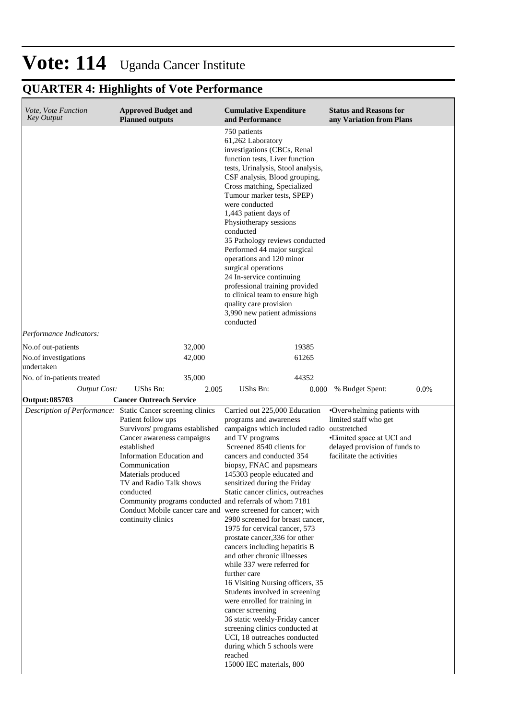# **QUARTER 4: Highlights of Vote Performance**

| <i>Vote, Vote Function</i><br><b>Key Output</b> | <b>Approved Budget and</b><br><b>Planned outputs</b>                                                                                                                                                                                                                                                                                                                                                                                                              | <b>Cumulative Expenditure</b><br>and Performance                                                                                                                                                                                                                                                                                                                                                                                                                                                                                                                                                                                                                                                                                                                                                                                                | <b>Status and Reasons for</b><br>any Variation from Plans                                                                                       |      |
|-------------------------------------------------|-------------------------------------------------------------------------------------------------------------------------------------------------------------------------------------------------------------------------------------------------------------------------------------------------------------------------------------------------------------------------------------------------------------------------------------------------------------------|-------------------------------------------------------------------------------------------------------------------------------------------------------------------------------------------------------------------------------------------------------------------------------------------------------------------------------------------------------------------------------------------------------------------------------------------------------------------------------------------------------------------------------------------------------------------------------------------------------------------------------------------------------------------------------------------------------------------------------------------------------------------------------------------------------------------------------------------------|-------------------------------------------------------------------------------------------------------------------------------------------------|------|
|                                                 |                                                                                                                                                                                                                                                                                                                                                                                                                                                                   | 750 patients<br>61,262 Laboratory<br>investigations (CBCs, Renal<br>function tests, Liver function<br>tests, Urinalysis, Stool analysis,<br>CSF analysis, Blood grouping,<br>Cross matching, Specialized<br>Tumour marker tests, SPEP)<br>were conducted<br>1,443 patient days of<br>Physiotherapy sessions<br>conducted<br>35 Pathology reviews conducted<br>Performed 44 major surgical<br>operations and 120 minor<br>surgical operations<br>24 In-service continuing<br>professional training provided<br>to clinical team to ensure high<br>quality care provision<br>3,990 new patient admissions<br>conducted                                                                                                                                                                                                                            |                                                                                                                                                 |      |
| Performance Indicators:                         |                                                                                                                                                                                                                                                                                                                                                                                                                                                                   |                                                                                                                                                                                                                                                                                                                                                                                                                                                                                                                                                                                                                                                                                                                                                                                                                                                 |                                                                                                                                                 |      |
| No.of out-patients                              | 32,000                                                                                                                                                                                                                                                                                                                                                                                                                                                            | 19385                                                                                                                                                                                                                                                                                                                                                                                                                                                                                                                                                                                                                                                                                                                                                                                                                                           |                                                                                                                                                 |      |
| No.of investigations<br>undertaken              | 42,000                                                                                                                                                                                                                                                                                                                                                                                                                                                            | 61265                                                                                                                                                                                                                                                                                                                                                                                                                                                                                                                                                                                                                                                                                                                                                                                                                                           |                                                                                                                                                 |      |
| No. of in-patients treated                      | 35,000                                                                                                                                                                                                                                                                                                                                                                                                                                                            | 44352                                                                                                                                                                                                                                                                                                                                                                                                                                                                                                                                                                                                                                                                                                                                                                                                                                           |                                                                                                                                                 |      |
| <b>Output Cost:</b>                             | <b>UShs Bn:</b><br>2.005                                                                                                                                                                                                                                                                                                                                                                                                                                          | UShs Bn:<br>0.000                                                                                                                                                                                                                                                                                                                                                                                                                                                                                                                                                                                                                                                                                                                                                                                                                               | % Budget Spent:                                                                                                                                 | 0.0% |
| <b>Output: 085703</b>                           | <b>Cancer Outreach Service</b><br>Description of Performance: Static Cancer screening clinics<br>Patient follow ups<br>Survivors' programs established<br>Cancer awareness campaigns<br>established<br>Information Education and<br>Communication<br>Materials produced<br>TV and Radio Talk shows<br>conducted<br>Community programs conducted and referrals of whom 7181<br>Conduct Mobile cancer care and were screened for cancer; with<br>continuity clinics | Carried out 225,000 Education<br>programs and awareness<br>campaigns which included radio outstretched<br>and TV programs<br>Screened 8540 clients for<br>cancers and conducted 354<br>biopsy, FNAC and papsmears<br>145303 people educated and<br>sensitized during the Friday<br>Static cancer clinics, outreaches<br>2980 screened for breast cancer,<br>1975 for cervical cancer, 573<br>prostate cancer, 336 for other<br>cancers including hepatitis B<br>and other chronic illnesses<br>while 337 were referred for<br>further care<br>16 Visiting Nursing officers, 35<br>Students involved in screening<br>were enrolled for training in<br>cancer screening<br>36 static weekly-Friday cancer<br>screening clinics conducted at<br>UCI, 18 outreaches conducted<br>during which 5 schools were<br>reached<br>15000 IEC materials, 800 | •Overwhelming patients with<br>limited staff who get<br>•Limited space at UCI and<br>delayed provision of funds to<br>facilitate the activities |      |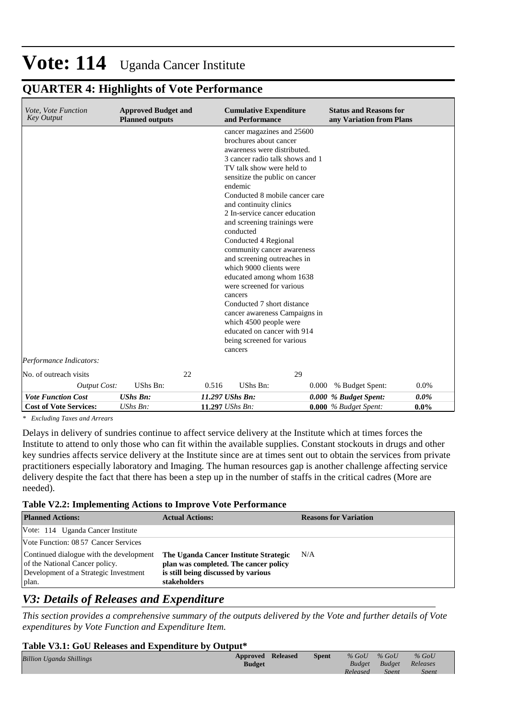| <i>Vote, Vote Function</i><br><b>Key Output</b> | <b>Approved Budget and</b><br><b>Planned outputs</b> |                 | <b>Cumulative Expenditure</b><br>and Performance   |       | <b>Status and Reasons for</b><br>any Variation from Plans |         |
|-------------------------------------------------|------------------------------------------------------|-----------------|----------------------------------------------------|-------|-----------------------------------------------------------|---------|
|                                                 |                                                      |                 | cancer magazines and 25600                         |       |                                                           |         |
|                                                 |                                                      |                 | brochures about cancer                             |       |                                                           |         |
|                                                 |                                                      |                 | awareness were distributed.                        |       |                                                           |         |
|                                                 |                                                      |                 | 3 cancer radio talk shows and 1                    |       |                                                           |         |
|                                                 |                                                      |                 | TV talk show were held to                          |       |                                                           |         |
|                                                 |                                                      |                 | sensitize the public on cancer                     |       |                                                           |         |
|                                                 |                                                      |                 | endemic                                            |       |                                                           |         |
|                                                 |                                                      |                 | Conducted 8 mobile cancer care                     |       |                                                           |         |
|                                                 |                                                      |                 | and continuity clinics                             |       |                                                           |         |
|                                                 |                                                      |                 | 2 In-service cancer education                      |       |                                                           |         |
|                                                 |                                                      |                 | and screening trainings were                       |       |                                                           |         |
|                                                 |                                                      |                 | conducted                                          |       |                                                           |         |
|                                                 |                                                      |                 | Conducted 4 Regional<br>community cancer awareness |       |                                                           |         |
|                                                 |                                                      |                 | and screening outreaches in                        |       |                                                           |         |
|                                                 |                                                      |                 | which 9000 clients were                            |       |                                                           |         |
|                                                 |                                                      |                 | educated among whom 1638                           |       |                                                           |         |
|                                                 |                                                      |                 | were screened for various                          |       |                                                           |         |
|                                                 |                                                      |                 | cancers                                            |       |                                                           |         |
|                                                 |                                                      |                 | Conducted 7 short distance                         |       |                                                           |         |
|                                                 |                                                      |                 | cancer awareness Campaigns in                      |       |                                                           |         |
|                                                 |                                                      |                 | which 4500 people were                             |       |                                                           |         |
|                                                 |                                                      |                 | educated on cancer with 914                        |       |                                                           |         |
|                                                 |                                                      |                 | being screened for various                         |       |                                                           |         |
|                                                 |                                                      |                 | cancers                                            |       |                                                           |         |
| Performance Indicators:                         |                                                      |                 |                                                    |       |                                                           |         |
| No. of outreach visits                          |                                                      | 22              | 29                                                 |       |                                                           |         |
| <b>Output Cost:</b>                             | UShs Bn:                                             | 0.516           | UShs Bn:                                           | 0.000 | % Budget Spent:                                           | 0.0%    |
| <b>Vote Function Cost</b>                       | <b>UShs Bn:</b>                                      | 11.297 UShs Bn: |                                                    |       | 0.000 % Budget Spent:                                     | $0.0\%$ |
| <b>Cost of Vote Services:</b>                   | $UShs Bn$ :                                          | 11.297 UShs Bn: |                                                    |       | $0.000\%$ Budget Spent:                                   | $0.0\%$ |

### **QUARTER 4: Highlights of Vote Performance**

*\* Excluding Taxes and Arrears*

Delays in delivery of sundries continue to affect service delivery at the Institute which at times forces the Institute to attend to only those who can fit within the available supplies. Constant stockouts in drugs and other key sundries affects service delivery at the Institute since are at times sent out to obtain the services from private practitioners especially laboratory and Imaging. The human resources gap is another challenge affecting service delivery despite the fact that there has been a step up in the number of staffs in the critical cadres (More are needed).

#### **Table V2.2: Implementing Actions to Improve Vote Performance**

| <b>Planned Actions:</b>                                                                                                     | <b>Actual Actions:</b>                                                                                                                | <b>Reasons for Variation</b> |
|-----------------------------------------------------------------------------------------------------------------------------|---------------------------------------------------------------------------------------------------------------------------------------|------------------------------|
| Vote: 114 Uganda Cancer Institute                                                                                           |                                                                                                                                       |                              |
| Vote Function: 08.57 Cancer Services                                                                                        |                                                                                                                                       |                              |
| Continued dialogue with the development<br>of the National Cancer policy.<br>Development of a Strategic Investment<br>plan. | The Uganda Cancer Institute Strategic<br>plan was completed. The cancer policy<br>is still being discussed by various<br>stakeholders | N/A                          |

## *V3: Details of Releases and Expenditure*

*This section provides a comprehensive summary of the outputs delivered by the Vote and further details of Vote expenditures by Vote Function and Expenditure Item.*

#### **Table V3.1: GoU Releases and Expenditure by Output\***

| <b>Billion Uganda Shillings</b> | <b>Approved Released</b><br><b>Budget</b> | <b>Spent</b> | $%$ GoU<br><b>Budget</b> | $%$ GoU<br>Budget | $%$ GoU<br>Releases |  |
|---------------------------------|-------------------------------------------|--------------|--------------------------|-------------------|---------------------|--|
|                                 |                                           |              | Released                 | <b>Spent</b>      | <b>Spent</b>        |  |